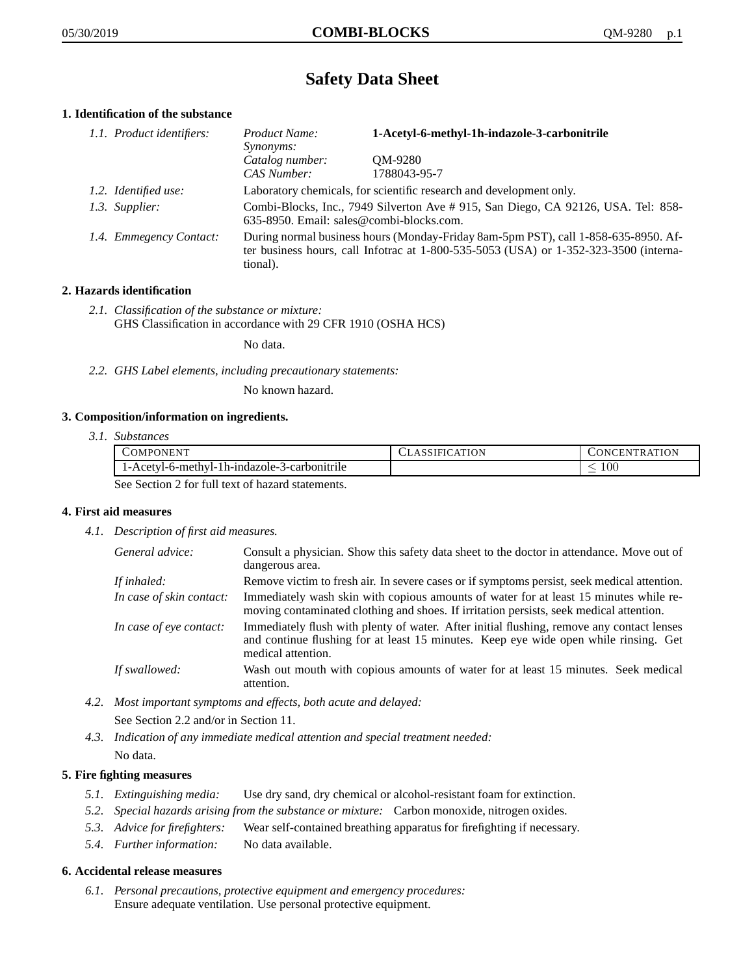# **Safety Data Sheet**

# **1. Identification of the substance**

| 1.1. Product identifiers: | Product Name:<br><i>Synonyms:</i>                                                                                                                                                       | 1-Acetyl-6-methyl-1h-indazole-3-carbonitrile |
|---------------------------|-----------------------------------------------------------------------------------------------------------------------------------------------------------------------------------------|----------------------------------------------|
|                           | Catalog number:<br>CAS Number:                                                                                                                                                          | OM-9280<br>1788043-95-7                      |
| 1.2. Identified use:      | Laboratory chemicals, for scientific research and development only.                                                                                                                     |                                              |
| 1.3. Supplier:            | Combi-Blocks, Inc., 7949 Silverton Ave # 915, San Diego, CA 92126, USA. Tel: 858-<br>635-8950. Email: sales@combi-blocks.com.                                                           |                                              |
| 1.4. Emmegency Contact:   | During normal business hours (Monday-Friday 8am-5pm PST), call 1-858-635-8950. Af-<br>ter business hours, call Infotrac at 1-800-535-5053 (USA) or 1-352-323-3500 (interna-<br>tional). |                                              |

# **2. Hazards identification**

*2.1. Classification of the substance or mixture:* GHS Classification in accordance with 29 CFR 1910 (OSHA HCS)

No data.

*2.2. GHS Label elements, including precautionary statements:*

No known hazard.

### **3. Composition/information on ingredients.**

*3.1. Substances*

| <b>COMPONENT</b>                                 | <b>CLASSIFICATION</b> | CONCENTRATION |
|--------------------------------------------------|-----------------------|---------------|
| 1-Acetyl-6-methyl-1h-indazole-3-carbonitrile     |                       | 10C           |
| See Section 2 for full text of hazard statements |                       |               |

See Section 2 for full text of hazard statements.

# **4. First aid measures**

*4.1. Description of first aid measures.*

| General advice:          | Consult a physician. Show this safety data sheet to the doctor in attendance. Move out of<br>dangerous area.                                                                                            |
|--------------------------|---------------------------------------------------------------------------------------------------------------------------------------------------------------------------------------------------------|
| If inhaled:              | Remove victim to fresh air. In severe cases or if symptoms persist, seek medical attention.                                                                                                             |
| In case of skin contact: | Immediately wash skin with copious amounts of water for at least 15 minutes while re-<br>moving contaminated clothing and shoes. If irritation persists, seek medical attention.                        |
| In case of eye contact:  | Immediately flush with plenty of water. After initial flushing, remove any contact lenses<br>and continue flushing for at least 15 minutes. Keep eye wide open while rinsing. Get<br>medical attention. |
| If swallowed:            | Wash out mouth with copious amounts of water for at least 15 minutes. Seek medical<br>attention.                                                                                                        |

*4.2. Most important symptoms and effects, both acute and delayed:*

See Section 2.2 and/or in Section 11.

*4.3. Indication of any immediate medical attention and special treatment needed:* No data.

# **5. Fire fighting measures**

- *5.1. Extinguishing media:* Use dry sand, dry chemical or alcohol-resistant foam for extinction.
- *5.2. Special hazards arising from the substance or mixture:* Carbon monoxide, nitrogen oxides.
- *5.3. Advice for firefighters:* Wear self-contained breathing apparatus for firefighting if necessary.
- *5.4. Further information:* No data available.

### **6. Accidental release measures**

*6.1. Personal precautions, protective equipment and emergency procedures:* Ensure adequate ventilation. Use personal protective equipment.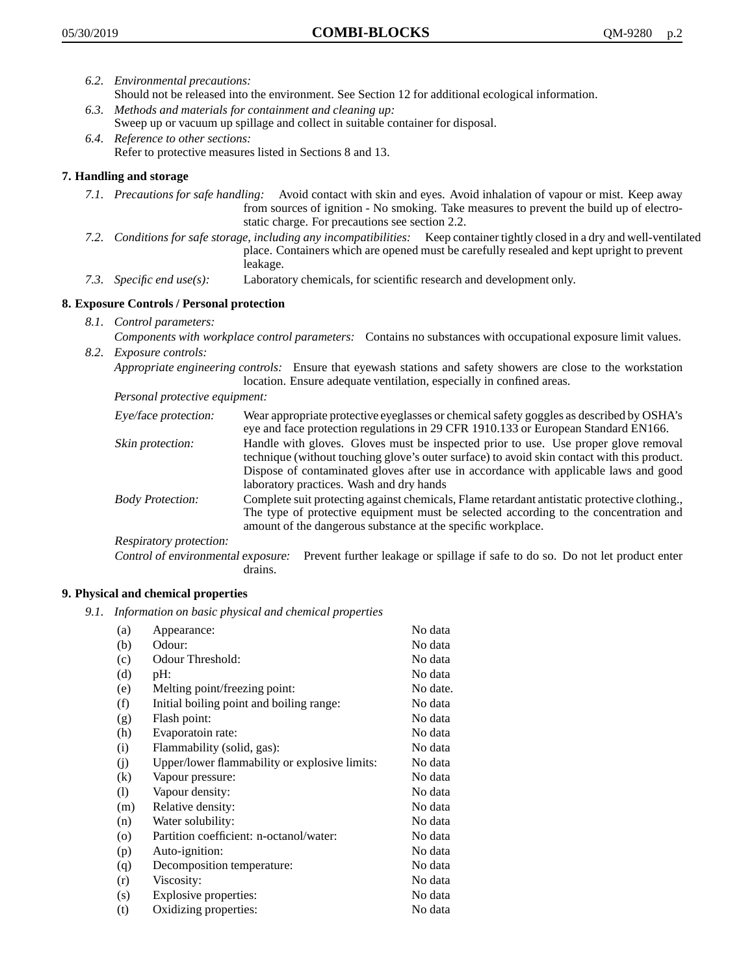- *6.2. Environmental precautions:* Should not be released into the environment. See Section 12 for additional ecological information.
- *6.3. Methods and materials for containment and cleaning up:* Sweep up or vacuum up spillage and collect in suitable container for disposal.
- *6.4. Reference to other sections:* Refer to protective measures listed in Sections 8 and 13.

# **7. Handling and storage**

- *7.1. Precautions for safe handling:* Avoid contact with skin and eyes. Avoid inhalation of vapour or mist. Keep away from sources of ignition - No smoking. Take measures to prevent the build up of electrostatic charge. For precautions see section 2.2.
- *7.2. Conditions for safe storage, including any incompatibilities:* Keep container tightly closed in a dry and well-ventilated place. Containers which are opened must be carefully resealed and kept upright to prevent leakage.
- *7.3. Specific end use(s):* Laboratory chemicals, for scientific research and development only.

# **8. Exposure Controls / Personal protection**

- *8.1. Control parameters:*
- *Components with workplace control parameters:* Contains no substances with occupational exposure limit values. *8.2. Exposure controls:*

*Appropriate engineering controls:* Ensure that eyewash stations and safety showers are close to the workstation location. Ensure adequate ventilation, especially in confined areas.

*Personal protective equipment:*

| Eye/face protection:    | Wear appropriate protective eyeglasses or chemical safety goggles as described by OSHA's<br>eye and face protection regulations in 29 CFR 1910.133 or European Standard EN166.                                                                                                                                         |
|-------------------------|------------------------------------------------------------------------------------------------------------------------------------------------------------------------------------------------------------------------------------------------------------------------------------------------------------------------|
| Skin protection:        | Handle with gloves. Gloves must be inspected prior to use. Use proper glove removal<br>technique (without touching glove's outer surface) to avoid skin contact with this product.<br>Dispose of contaminated gloves after use in accordance with applicable laws and good<br>laboratory practices. Wash and dry hands |
| <b>Body Protection:</b> | Complete suit protecting against chemicals, Flame retardant antistatic protective clothing.,<br>The type of protective equipment must be selected according to the concentration and<br>amount of the dangerous substance at the specific workplace.                                                                   |
| Respiratory protection: |                                                                                                                                                                                                                                                                                                                        |

Control of environmental exposure: Prevent further leakage or spillage if safe to do so. Do not let product enter drains.

### **9. Physical and chemical properties**

*9.1. Information on basic physical and chemical properties*

| (a)               | Appearance:                                   | No data  |
|-------------------|-----------------------------------------------|----------|
| (b)               | Odour:                                        | No data  |
| (c)               | Odour Threshold:                              | No data  |
| (d)               | pH:                                           | No data  |
| (e)               | Melting point/freezing point:                 | No date. |
| (f)               | Initial boiling point and boiling range:      | No data  |
| (g)               | Flash point:                                  | No data  |
| (h)               | Evaporatoin rate:                             | No data  |
| (i)               | Flammability (solid, gas):                    | No data  |
| (j)               | Upper/lower flammability or explosive limits: | No data  |
| $\left( k\right)$ | Vapour pressure:                              | No data  |
| (1)               | Vapour density:                               | No data  |
| (m)               | Relative density:                             | No data  |
| (n)               | Water solubility:                             | No data  |
| $\circ$           | Partition coefficient: n-octanol/water:       | No data  |
| (p)               | Auto-ignition:                                | No data  |
| (q)               | Decomposition temperature:                    | No data  |
| (r)               | Viscosity:                                    | No data  |
| (s)               | Explosive properties:                         | No data  |
| (t)               | Oxidizing properties:                         | No data  |